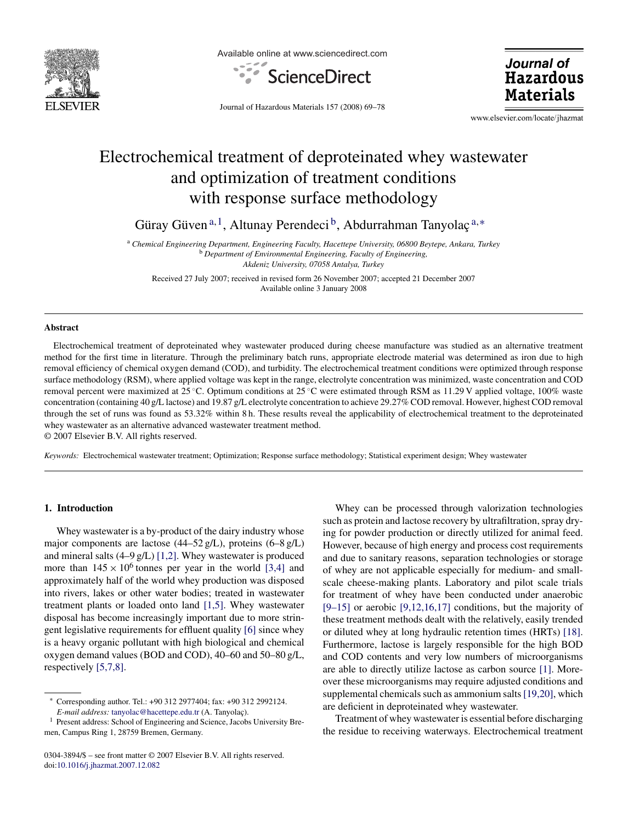

Available online at www.sciencedirect.com



Journal of **Hazardous Materials** 

Journal of Hazardous Materials 157 (2008) 69–78

www.elsevier.com/locate/jhazmat

# Electrochemical treatment of deproteinated whey wastewater and optimization of treatment conditions with response surface methodology

Güray Güven<sup>a,1</sup>, Altunay Perendeci<sup>b</sup>, Abdurrahman Tanyolaç<sup>a,\*</sup>

<sup>a</sup> *Chemical Engineering Department, Engineering Faculty, Hacettepe University, 06800 Beytepe, Ankara, Turkey* <sup>b</sup> *Department of Environmental Engineering, Faculty of Engineering, Akdeniz University, 07058 Antalya, Turkey*

Received 27 July 2007; received in revised form 26 November 2007; accepted 21 December 2007 Available online 3 January 2008

#### **Abstract**

Electrochemical treatment of deproteinated whey wastewater produced during cheese manufacture was studied as an alternative treatment method for the first time in literature. Through the preliminary batch runs, appropriate electrode material was determined as iron due to high removal efficiency of chemical oxygen demand (COD), and turbidity. The electrochemical treatment conditions were optimized through response surface methodology (RSM), where applied voltage was kept in the range, electrolyte concentration was minimized, waste concentration and COD removal percent were maximized at 25 ◦C. Optimum conditions at 25 ◦C were estimated through RSM as 11.29 V applied voltage, 100% waste concentration (containing 40 g/L lactose) and 19.87 g/L electrolyte concentration to achieve 29.27% COD removal. However, highest COD removal through the set of runs was found as 53.32% within 8 h. These results reveal the applicability of electrochemical treatment to the deproteinated whey wastewater as an alternative advanced wastewater treatment method.

© 2007 Elsevier B.V. All rights reserved.

*Keywords:* Electrochemical wastewater treatment; Optimization; Response surface methodology; Statistical experiment design; Whey wastewater

# **1. Introduction**

Whey wastewater is a by-product of the dairy industry whose major components are lactose (44–52 g/L), proteins (6–8 g/L) and mineral salts (4–9 g/L) [\[1,2\].](#page-8-0) Whey wastewater is produced more than  $145 \times 10^6$  tonnes per year in the world [\[3,4\]](#page-8-0) and approximately half of the world whey production was disposed into rivers, lakes or other water bodies; treated in wastewater treatment plants or loaded onto land [\[1,5\].](#page-8-0) Whey wastewater disposal has become increasingly important due to more stringent legislative requirements for effluent quality [\[6\]](#page-8-0) since whey is a heavy organic pollutant with high biological and chemical oxygen demand values (BOD and COD), 40–60 and 50–80 g/L, respectively [\[5,7,8\].](#page-8-0)

Whey can be processed through valorization technologies such as protein and lactose recovery by ultrafiltration, spray drying for powder production or directly utilized for animal feed. However, because of high energy and process cost requirements and due to sanitary reasons, separation technologies or storage of whey are not applicable especially for medium- and smallscale cheese-making plants. Laboratory and pilot scale trials for treatment of whey have been conducted under anaerobic  $[9-15]$  or aerobic  $[9,12,16,17]$  conditions, but the majority of these treatment methods dealt with the relatively, easily trended or diluted whey at long hydraulic retention times (HRTs) [\[18\].](#page-8-0) Furthermore, lactose is largely responsible for the high BOD and COD contents and very low numbers of microorganisms are able to directly utilize lactose as carbon source [\[1\].](#page-8-0) Moreover these microorganisms may require adjusted conditions and supplemental chemicals such as ammonium salts[\[19,20\], w](#page-8-0)hich are deficient in deproteinated whey wastewater.

Treatment of whey wastewater is essential before discharging the residue to receiving waterways. Electrochemical treatment

<sup>∗</sup> Corresponding author. Tel.: +90 312 2977404; fax: +90 312 2992124. *E-mail address:* [tanyolac@hacettepe.edu.tr](mailto:tanyolac@hacettepe.edu.tr) (A. Tanyolaç).

<sup>1</sup> Present address: School of Engineering and Science, Jacobs University Bremen, Campus Ring 1, 28759 Bremen, Germany.

<sup>0304-3894/\$ –</sup> see front matter © 2007 Elsevier B.V. All rights reserved. doi[:10.1016/j.jhazmat.2007.12.082](dx.doi.org/10.1016/j.jhazmat.2007.12.082)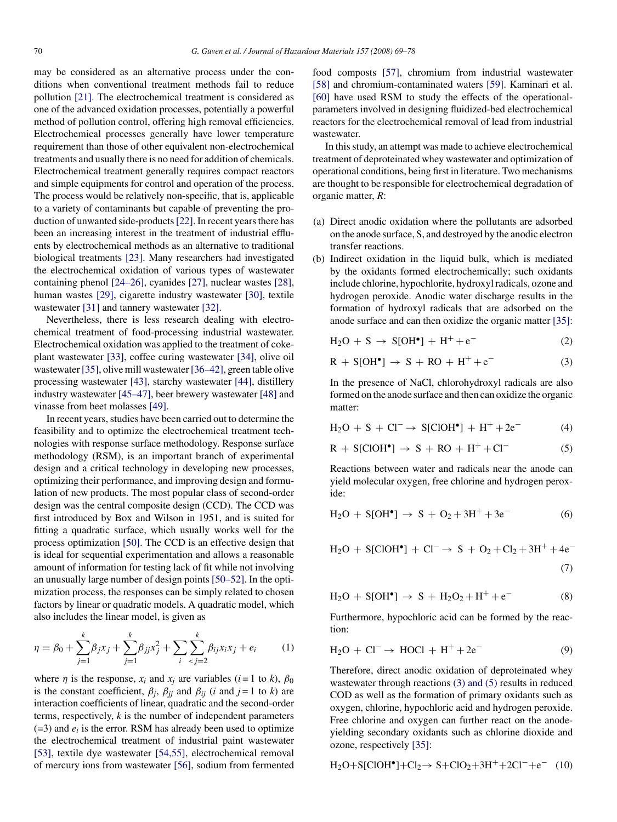<span id="page-1-0"></span>may be considered as an alternative process under the conditions when conventional treatment methods fail to reduce pollution [\[21\].](#page-8-0) The electrochemical treatment is considered as one of the advanced oxidation processes, potentially a powerful method of pollution control, offering high removal efficiencies. Electrochemical processes generally have lower temperature requirement than those of other equivalent non-electrochemical treatments and usually there is no need for addition of chemicals. Electrochemical treatment generally requires compact reactors and simple equipments for control and operation of the process. The process would be relatively non-specific, that is, applicable to a variety of contaminants but capable of preventing the production of unwanted side-products[\[22\]. I](#page-8-0)n recent years there has been an increasing interest in the treatment of industrial effluents by electrochemical methods as an alternative to traditional biological treatments [\[23\].](#page-8-0) Many researchers had investigated the electrochemical oxidation of various types of wastewater containing phenol [\[24–26\],](#page-8-0) cyanides [\[27\],](#page-8-0) nuclear wastes [\[28\],](#page-8-0) human wastes [\[29\],](#page-8-0) cigarette industry wastewater [\[30\],](#page-8-0) textile wastewater [\[31\]](#page-8-0) and tannery wastewater [\[32\].](#page-8-0)

Nevertheless, there is less research dealing with electrochemical treatment of food-processing industrial wastewater. Electrochemical oxidation was applied to the treatment of cokeplant wastewater [\[33\],](#page-8-0) coffee curing wastewater [\[34\],](#page-8-0) olive oil wastewater [\[35\], o](#page-8-0)live mill wastewater [\[36–42\], g](#page-8-0)reen table olive processing wastewater [\[43\],](#page-8-0) starchy wastewater [\[44\],](#page-8-0) distillery industry wastewater [\[45–47\], b](#page-8-0)eer brewery wastewater [\[48\]](#page-8-0) and vinasse from beet molasses [\[49\].](#page-9-0)

In recent years, studies have been carried out to determine the feasibility and to optimize the electrochemical treatment technologies with response surface methodology. Response surface methodology (RSM), is an important branch of experimental design and a critical technology in developing new processes, optimizing their performance, and improving design and formulation of new products. The most popular class of second-order design was the central composite design (CCD). The CCD was first introduced by Box and Wilson in 1951, and is suited for fitting a quadratic surface, which usually works well for the process optimization [\[50\].](#page-9-0) The CCD is an effective design that is ideal for sequential experimentation and allows a reasonable amount of information for testing lack of fit while not involving an unusually large number of design points [\[50–52\]. I](#page-9-0)n the optimization process, the responses can be simply related to chosen factors by linear or quadratic models. A quadratic model, which also includes the linear model, is given as

$$
\eta = \beta_0 + \sum_{j=1}^k \beta_j x_j + \sum_{j=1}^k \beta_{jj} x_j^2 + \sum_i \sum_{j=2}^k \beta_{ij} x_i x_j + e_i \tag{1}
$$

where  $\eta$  is the response,  $x_i$  and  $x_j$  are variables ( $i = 1$  to  $k$ ),  $\beta_0$ is the constant coefficient,  $\beta_j$ ,  $\beta_{jj}$  and  $\beta_{ij}$  (*i* and  $j = 1$  to *k*) are interaction coefficients of linear, quadratic and the second-order terms, respectively, *k* is the number of independent parameters  $(=3)$  and  $e_i$  is the error. RSM has already been used to optimize the electrochemical treatment of industrial paint wastewater [\[53\],](#page-9-0) textile dye wastewater [\[54,55\],](#page-9-0) electrochemical removal of mercury ions from wastewater [\[56\],](#page-9-0) sodium from fermented food composts [\[57\],](#page-9-0) chromium from industrial wastewater [\[58\]](#page-9-0) and chromium-contaminated waters [\[59\].](#page-9-0) Kaminari et al. [\[60\]](#page-9-0) have used RSM to study the effects of the operationalparameters involved in designing fluidized-bed electrochemical reactors for the electrochemical removal of lead from industrial wastewater.

In this study, an attempt was made to achieve electrochemical treatment of deproteinated whey wastewater and optimization of operational conditions, being first in literature. Two mechanisms are thought to be responsible for electrochemical degradation of organic matter, *R*:

- (a) Direct anodic oxidation where the pollutants are adsorbed on the anode surface, S, and destroyed by the anodic electron transfer reactions.
- (b) Indirect oxidation in the liquid bulk, which is mediated by the oxidants formed electrochemically; such oxidants include chlorine, hypochlorite, hydroxyl radicals, ozone and hydrogen peroxide. Anodic water discharge results in the formation of hydroxyl radicals that are adsorbed on the anode surface and can then oxidize the organic matter [\[35\]:](#page-8-0)

$$
H_2O + S \rightarrow S[OH^{\bullet}] + H^+ + e^-
$$
 (2)

$$
R + S[OH^{\bullet}] \rightarrow S + RO + H^{+} + e^{-}
$$
 (3)

In the presence of NaCl, chlorohydroxyl radicals are also formed on the anode surface and then can oxidize the organic matter:

$$
H_2O + S + Cl^- \rightarrow S[CIOH^{\bullet}] + H^+ + 2e^-
$$
 (4)

$$
R + S[ClOH•] \rightarrow S + RO + H+ + Cl-
$$
 (5)

Reactions between water and radicals near the anode can yield molecular oxygen, free chlorine and hydrogen peroxide:

$$
H_2O + S[OH^{\bullet}] \rightarrow S + O_2 + 3H^+ + 3e^-
$$
 (6)

$$
H_2O + S[ClOH•] + Cl- \rightarrow S + O_2 + Cl_2 + 3H+ + 4e-
$$
\n(7)

$$
H_2O + S[OH^{\bullet}] \to S + H_2O_2 + H^+ + e^-
$$
 (8)

Furthermore, hypochloric acid can be formed by the reaction:

$$
H_2O + Cl^- \rightarrow HOCl + H^+ + 2e^-
$$
 (9)

Therefore, direct anodic oxidation of deproteinated whey wastewater through reactions (3) and (5) results in reduced COD as well as the formation of primary oxidants such as oxygen, chlorine, hypochloric acid and hydrogen peroxide. Free chlorine and oxygen can further react on the anodeyielding secondary oxidants such as chlorine dioxide and ozone, respectively [\[35\]:](#page-8-0)

$$
H_2O + S[ClOH^{\bullet}] + Cl_2 \rightarrow S + ClO_2 + 3H^+ + 2Cl^- + e^- (10)
$$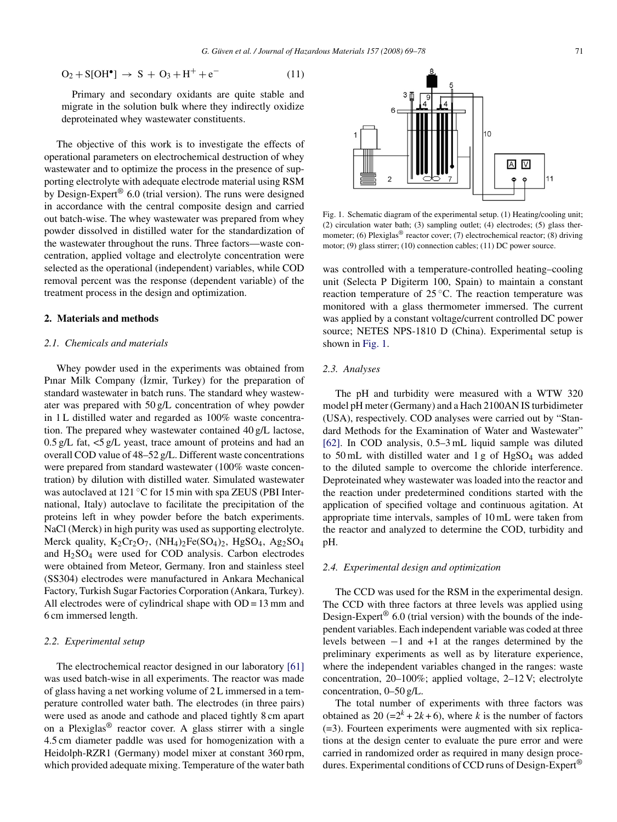$$
O_2 + S[OH^{\bullet}] \to S + O_3 + H^+ + e^-
$$
 (11)

Primary and secondary oxidants are quite stable and migrate in the solution bulk where they indirectly oxidize deproteinated whey wastewater constituents.

The objective of this work is to investigate the effects of operational parameters on electrochemical destruction of whey wastewater and to optimize the process in the presence of supporting electrolyte with adequate electrode material using RSM by Design-Expert® 6.0 (trial version). The runs were designed in accordance with the central composite design and carried out batch-wise. The whey wastewater was prepared from whey powder dissolved in distilled water for the standardization of the wastewater throughout the runs. Three factors—waste concentration, applied voltage and electrolyte concentration were selected as the operational (independent) variables, while COD removal percent was the response (dependent variable) of the treatment process in the design and optimization.

# **2. Materials and methods**

# *2.1. Chemicals and materials*

Whey powder used in the experiments was obtained from Pinar Milk Company (İzmir, Turkey) for the preparation of standard wastewater in batch runs. The standard whey wastewater was prepared with 50 g/L concentration of whey powder in 1 L distilled water and regarded as 100% waste concentration. The prepared whey wastewater contained 40 g/L lactose, 0.5 g/L fat, <5 g/L yeast, trace amount of proteins and had an overall COD value of 48–52 g/L. Different waste concentrations were prepared from standard wastewater (100% waste concentration) by dilution with distilled water. Simulated wastewater was autoclaved at 121 ℃ for 15 min with spa ZEUS (PBI International, Italy) autoclave to facilitate the precipitation of the proteins left in whey powder before the batch experiments. NaCl (Merck) in high purity was used as supporting electrolyte. Merck quality,  $K_2Cr_2O_7$ ,  $(NH_4)_2Fe(SO_4)_2$ ,  $HgSO_4$ ,  $Ag_2SO_4$ and H2SO4 were used for COD analysis. Carbon electrodes were obtained from Meteor, Germany. Iron and stainless steel (SS304) electrodes were manufactured in Ankara Mechanical Factory, Turkish Sugar Factories Corporation (Ankara, Turkey). All electrodes were of cylindrical shape with  $OD = 13$  mm and 6 cm immersed length.

# *2.2. Experimental setup*

The electrochemical reactor designed in our laboratory [\[61\]](#page-9-0) was used batch-wise in all experiments. The reactor was made of glass having a net working volume of 2 L immersed in a temperature controlled water bath. The electrodes (in three pairs) were used as anode and cathode and placed tightly 8 cm apart on a Plexiglas® reactor cover. A glass stirrer with a single 4.5 cm diameter paddle was used for homogenization with a Heidolph-RZR1 (Germany) model mixer at constant 360 rpm, which provided adequate mixing. Temperature of the water bath



Fig. 1. Schematic diagram of the experimental setup. (1) Heating/cooling unit; (2) circulation water bath; (3) sampling outlet; (4) electrodes; (5) glass thermometer; (6) Plexiglas<sup>®</sup> reactor cover; (7) electrochemical reactor; (8) driving motor; (9) glass stirrer; (10) connection cables; (11) DC power source.

was controlled with a temperature-controlled heating–cooling unit (Selecta P Digiterm 100, Spain) to maintain a constant reaction temperature of  $25^{\circ}$ C. The reaction temperature was monitored with a glass thermometer immersed. The current was applied by a constant voltage/current controlled DC power source; NETES NPS-1810 D (China). Experimental setup is shown in Fig. 1.

# *2.3. Analyses*

The pH and turbidity were measured with a WTW 320 model pH meter (Germany) and a Hach 2100AN IS turbidimeter (USA), respectively. COD analyses were carried out by "Standard Methods for the Examination of Water and Wastewater" [\[62\].](#page-9-0) In COD analysis, 0.5–3 mL liquid sample was diluted to  $50 \text{ mL}$  with distilled water and  $1 \text{ g}$  of HgSO<sub>4</sub> was added to the diluted sample to overcome the chloride interference. Deproteinated whey wastewater was loaded into the reactor and the reaction under predetermined conditions started with the application of specified voltage and continuous agitation. At appropriate time intervals, samples of 10 mL were taken from the reactor and analyzed to determine the COD, turbidity and pH.

# *2.4. Experimental design and optimization*

The CCD was used for the RSM in the experimental design. The CCD with three factors at three levels was applied using Design-Expert<sup>®</sup> 6.0 (trial version) with the bounds of the independent variables. Each independent variable was coded at three levels between −1 and +1 at the ranges determined by the preliminary experiments as well as by literature experience, where the independent variables changed in the ranges: waste concentration, 20–100%; applied voltage, 2–12 V; electrolyte concentration, 0–50 g/L.

The total number of experiments with three factors was obtained as 20  $(=2^k + 2k + 6)$ , where *k* is the number of factors (=3). Fourteen experiments were augmented with six replications at the design center to evaluate the pure error and were carried in randomized order as required in many design procedures. Experimental conditions of CCD runs of Design-Expert®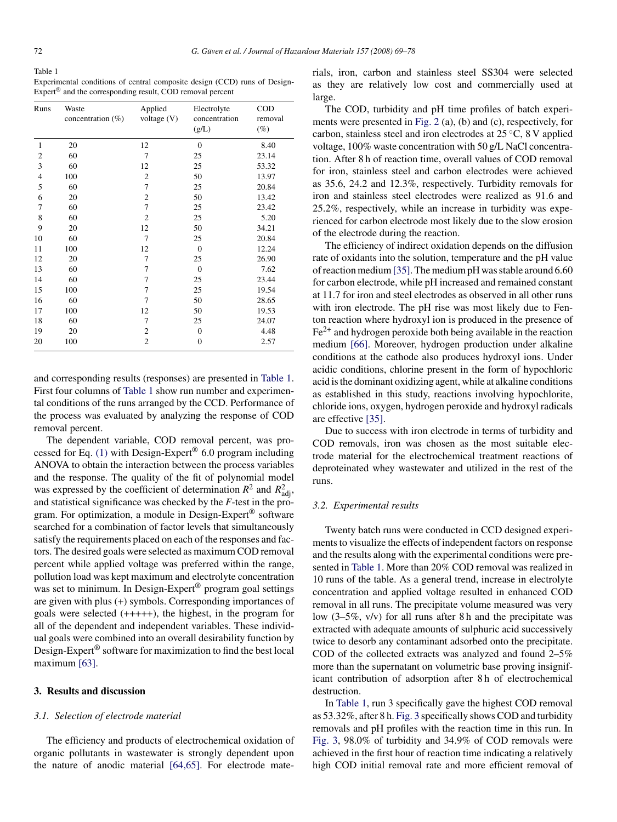<span id="page-3-0"></span>Table 1 Experimental conditions of central composite design (CCD) runs of Design-Expert® and the corresponding result, COD removal percent

| Runs           | Waste<br>concentration $(\% )$ | Applied<br>voltage $(V)$ | Electrolyte<br>concentration<br>(g/L) | <b>COD</b><br>removal<br>$(\%)$ |
|----------------|--------------------------------|--------------------------|---------------------------------------|---------------------------------|
| 1              | 20                             | 12                       | $\mathbf{0}$                          | 8.40                            |
| $\mathbf{2}$   | 60                             | 7                        | 25                                    | 23.14                           |
| 3              | 60                             | 12                       | 25                                    | 53.32                           |
| $\overline{4}$ | 100                            | $\mathbf{2}$             | 50                                    | 13.97                           |
| 5              | 60                             | 7                        | 25                                    | 20.84                           |
| 6              | 20                             | $\mathbf{2}$             | 50                                    | 13.42                           |
| 7              | 60                             | 7                        | 25                                    | 23.42                           |
| 8              | 60                             | $\overline{c}$           | 25                                    | 5.20                            |
| 9              | 20                             | 12                       | 50                                    | 34.21                           |
| 10             | 60                             | $\overline{7}$           | 25                                    | 20.84                           |
| 11             | 100                            | 12                       | $\overline{0}$                        | 12.24                           |
| 12             | 20                             | 7                        | 25                                    | 26.90                           |
| 13             | 60                             | 7                        | $\overline{0}$                        | 7.62                            |
| 14             | 60                             | 7                        | 25                                    | 23.44                           |
| 15             | 100                            | $\overline{7}$           | 25                                    | 19.54                           |
| 16             | 60                             | $\overline{7}$           | 50                                    | 28.65                           |
| 17             | 100                            | 12                       | 50                                    | 19.53                           |
| 18             | 60                             | 7                        | 25                                    | 24.07                           |
| 19             | 20                             | $\mathbf{2}$             | $\overline{0}$                        | 4.48                            |
| 20             | 100                            | $\overline{c}$           | $\overline{0}$                        | 2.57                            |

and corresponding results (responses) are presented in Table 1. First four columns of Table 1 show run number and experimental conditions of the runs arranged by the CCD. Performance of the process was evaluated by analyzing the response of COD removal percent.

The dependent variable, COD removal percent, was pro-cessed for Eq. [\(1\)](#page-1-0) with Design-Expert<sup>®</sup> 6.0 program including ANOVA to obtain the interaction between the process variables and the response. The quality of the fit of polynomial model was expressed by the coefficient of determination  $R^2$  and  $R^2_{\text{adj}}$ , and statistical significance was checked by the *F*-test in the program. For optimization, a module in Design-Expert® software searched for a combination of factor levels that simultaneously satisfy the requirements placed on each of the responses and factors. The desired goals were selected as maximum COD removal percent while applied voltage was preferred within the range, pollution load was kept maximum and electrolyte concentration was set to minimum. In Design-Expert® program goal settings are given with plus (+) symbols. Corresponding importances of goals were selected (+++++), the highest, in the program for all of the dependent and independent variables. These individual goals were combined into an overall desirability function by Design-Expert® software for maximization to find the best local maximum [\[63\].](#page-9-0)

# **3. Results and discussion**

#### *3.1. Selection of electrode material*

The efficiency and products of electrochemical oxidation of organic pollutants in wastewater is strongly dependent upon the nature of anodic material [\[64,65\].](#page-9-0) For electrode materials, iron, carbon and stainless steel SS304 were selected as they are relatively low cost and commercially used at large.

The COD, turbidity and pH time profiles of batch experiments were presented in [Fig. 2](#page-4-0) (a), (b) and (c), respectively, for carbon, stainless steel and iron electrodes at 25 ◦C, 8 V applied voltage, 100% waste concentration with 50 g/L NaCl concentration. After 8 h of reaction time, overall values of COD removal for iron, stainless steel and carbon electrodes were achieved as 35.6, 24.2 and 12.3%, respectively. Turbidity removals for iron and stainless steel electrodes were realized as 91.6 and 25.2%, respectively, while an increase in turbidity was experienced for carbon electrode most likely due to the slow erosion of the electrode during the reaction.

The efficiency of indirect oxidation depends on the diffusion rate of oxidants into the solution, temperature and the pH value of reaction medium[\[35\]. T](#page-8-0)he medium pH was stable around 6.60 for carbon electrode, while pH increased and remained constant at 11.7 for iron and steel electrodes as observed in all other runs with iron electrode. The pH rise was most likely due to Fenton reaction where hydroxyl ion is produced in the presence of  $Fe<sup>2+</sup>$  and hydrogen peroxide both being available in the reaction medium [\[66\].](#page-9-0) Moreover, hydrogen production under alkaline conditions at the cathode also produces hydroxyl ions. Under acidic conditions, chlorine present in the form of hypochloric acid is the dominant oxidizing agent, while at alkaline conditions as established in this study, reactions involving hypochlorite, chloride ions, oxygen, hydrogen peroxide and hydroxyl radicals are effective [\[35\].](#page-8-0)

Due to success with iron electrode in terms of turbidity and COD removals, iron was chosen as the most suitable electrode material for the electrochemical treatment reactions of deproteinated whey wastewater and utilized in the rest of the runs.

#### *3.2. Experimental results*

Twenty batch runs were conducted in CCD designed experiments to visualize the effects of independent factors on response and the results along with the experimental conditions were presented in Table 1. More than 20% COD removal was realized in 10 runs of the table. As a general trend, increase in electrolyte concentration and applied voltage resulted in enhanced COD removal in all runs. The precipitate volume measured was very low  $(3-5\%, v/v)$  for all runs after 8 h and the precipitate was extracted with adequate amounts of sulphuric acid successively twice to desorb any contaminant adsorbed onto the precipitate. COD of the collected extracts was analyzed and found 2–5% more than the supernatant on volumetric base proving insignificant contribution of adsorption after 8 h of electrochemical destruction.

In Table 1, run 3 specifically gave the highest COD removal as 53.32%, after 8 h. [Fig. 3](#page-5-0) specifically shows COD and turbidity removals and pH profiles with the reaction time in this run. In [Fig. 3,](#page-5-0) 98.0% of turbidity and 34.9% of COD removals were achieved in the first hour of reaction time indicating a relatively high COD initial removal rate and more efficient removal of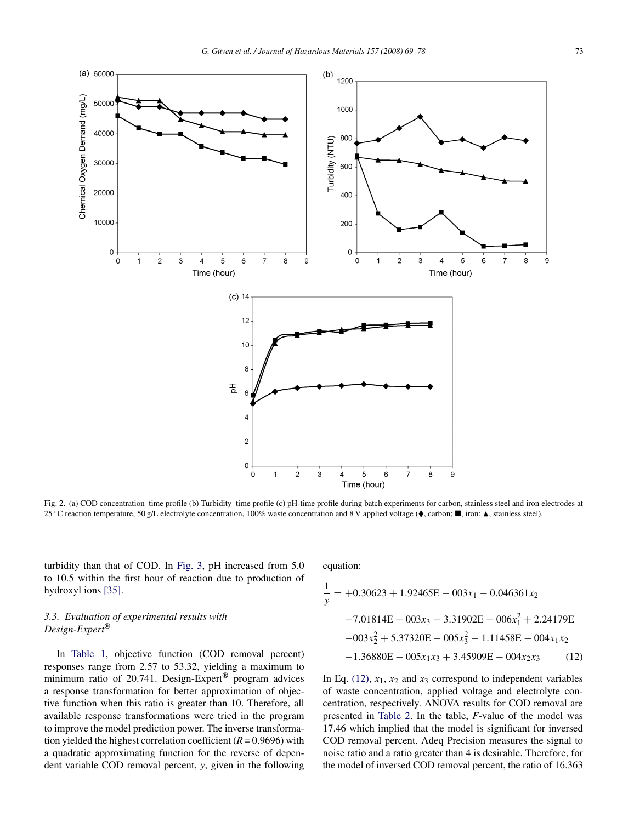<span id="page-4-0"></span>

Fig. 2. (a) COD concentration–time profile (b) Turbidity–time profile (c) pH-time profile during batch experiments for carbon, stainless steel and iron electrodes at 25 °C reaction temperature, 50 g/L electrolyte concentration, 100% waste concentration and 8 V applied voltage (♦, carbon; ■, iron; ▲, stainless steel).

turbidity than that of COD. In [Fig. 3,](#page-5-0) pH increased from 5.0 to 10.5 within the first hour of reaction due to production of hydroxyl ions [\[35\].](#page-8-0)

# *3.3. Evaluation of experimental results with Design-Expert*®

In [Table 1,](#page-3-0) objective function (COD removal percent) responses range from 2.57 to 53.32, yielding a maximum to minimum ratio of 20.741. Design-Expert® program advices a response transformation for better approximation of objective function when this ratio is greater than 10. Therefore, all available response transformations were tried in the program to improve the model prediction power. The inverse transformation yielded the highest correlation coefficient  $(R = 0.9696)$  with a quadratic approximating function for the reverse of dependent variable COD removal percent, *y*, given in the following equation:

$$
\frac{1}{y} = +0.30623 + 1.92465E - 003x_1 - 0.046361x_2
$$
  
-7.01814E - 003x<sub>3</sub> - 3.31902E - 006x<sub>1</sub><sup>2</sup> + 2.24179E  
-003x<sub>2</sub><sup>2</sup> + 5.37320E - 005x<sub>3</sub><sup>2</sup> - 1.11458E - 004x<sub>1</sub>x<sub>2</sub>  
-1.36880E - 005x<sub>1</sub>x<sub>3</sub> + 3.45909E - 004x<sub>2</sub>x<sub>3</sub> (12)

In Eq.  $(12)$ ,  $x_1$ ,  $x_2$  and  $x_3$  correspond to independent variables of waste concentration, applied voltage and electrolyte concentration, respectively. ANOVA results for COD removal are presented in [Table 2.](#page-5-0) In the table, *F*-value of the model was 17.46 which implied that the model is significant for inversed COD removal percent. Adeq Precision measures the signal to noise ratio and a ratio greater than 4 is desirable. Therefore, for the model of inversed COD removal percent, the ratio of 16.363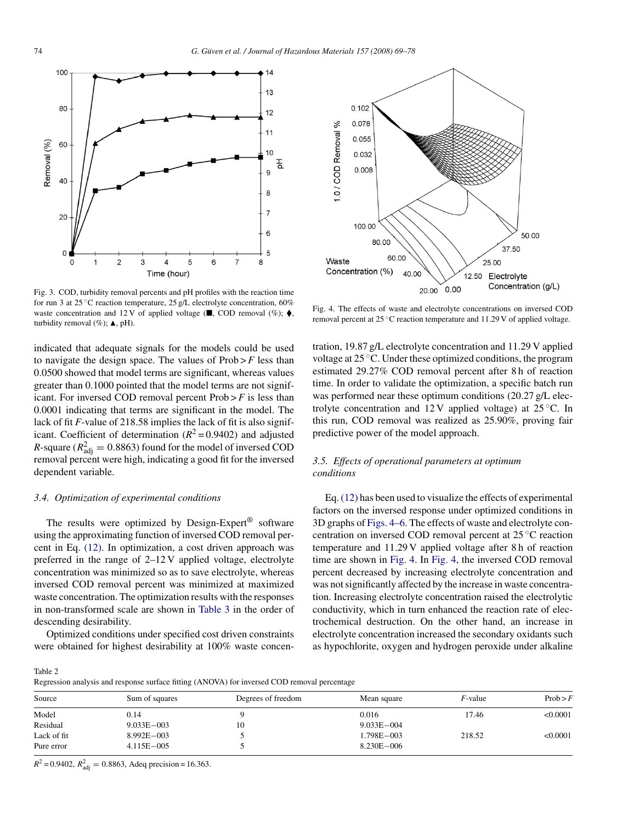<span id="page-5-0"></span>

Fig. 3. COD, turbidity removal percents and pH profiles with the reaction time for run 3 at 25 °C reaction temperature, 25 g/L electrolyte concentration, 60% waste concentration and 12 V of applied voltage ( $\blacksquare$ , COD removal (%);  $\blacklozenge$ , turbidity removal  $(\%); \triangle, pH$ .

indicated that adequate signals for the models could be used to navigate the design space. The values of  $Prob > F$  less than 0.0500 showed that model terms are significant, whereas values greater than 0.1000 pointed that the model terms are not significant. For inversed COD removal percent  $Prob > F$  is less than 0.0001 indicating that terms are significant in the model. The lack of fit *F*-value of 218.58 implies the lack of fit is also significant. Coefficient of determination  $(R^2 = 0.9402)$  and adjusted *R*-square ( $R_{\text{adj}}^2 = 0.8863$ ) found for the model of inversed COD removal percent were high, indicating a good fit for the inversed dependent variable.

# *3.4. Optimization of experimental conditions*

The results were optimized by Design-Expert® software using the approximating function of inversed COD removal percent in Eq. [\(12\).](#page-4-0) In optimization, a cost driven approach was preferred in the range of 2–12 V applied voltage, electrolyte concentration was minimized so as to save electrolyte, whereas inversed COD removal percent was minimized at maximized waste concentration. The optimization results with the responses in non-transformed scale are shown in [Table 3](#page-6-0) in the order of descending desirability.

Optimized conditions under specified cost driven constraints were obtained for highest desirability at 100% waste concen-



Fig. 4. The effects of waste and electrolyte concentrations on inversed COD removal percent at 25 ◦C reaction temperature and 11.29 V of applied voltage.

tration, 19.87 g/L electrolyte concentration and 11.29 V applied voltage at 25 ◦C. Under these optimized conditions, the program estimated 29.27% COD removal percent after 8 h of reaction time. In order to validate the optimization, a specific batch run was performed near these optimum conditions (20.27 g/L electrolyte concentration and  $12 \text{ V}$  applied voltage) at  $25 \degree \text{C}$ . In this run, COD removal was realized as 25.90%, proving fair predictive power of the model approach.

# *3.5. Effects of operational parameters at optimum conditions*

Eq. [\(12\)](#page-4-0) has been used to visualize the effects of experimental factors on the inversed response under optimized conditions in 3D graphs of Figs. 4–6. The effects of waste and electrolyte concentration on inversed COD removal percent at 25 ◦C reaction temperature and 11.29 V applied voltage after 8 h of reaction time are shown in Fig. 4. In Fig. 4, the inversed COD removal percent decreased by increasing electrolyte concentration and was not significantly affected by the increase in waste concentration. Increasing electrolyte concentration raised the electrolytic conductivity, which in turn enhanced the reaction rate of electrochemical destruction. On the other hand, an increase in electrolyte concentration increased the secondary oxidants such as hypochlorite, oxygen and hydrogen peroxide under alkaline

Table 2

Regression analysis and response surface fitting (ANOVA) for inversed COD removal percentage

| Source      | Sum of squares | Degrees of freedom | Mean square    | $F$ -value | Prob > F |
|-------------|----------------|--------------------|----------------|------------|----------|
| Model       | 0.14           |                    | 0.016          | 17.46      | < 0.0001 |
| Residual    | $9.033E - 003$ |                    | $9.033E - 004$ |            |          |
| Lack of fit | $8.992E - 003$ |                    | 1.798E-003     | 218.52     | < 0.0001 |
| Pure error  | $4.115E - 005$ |                    | $8.230E - 006$ |            |          |

 $R^2 = 0.9402$ ,  $R^2_{\text{adj}} = 0.8863$ , Adeq precision = 16.363.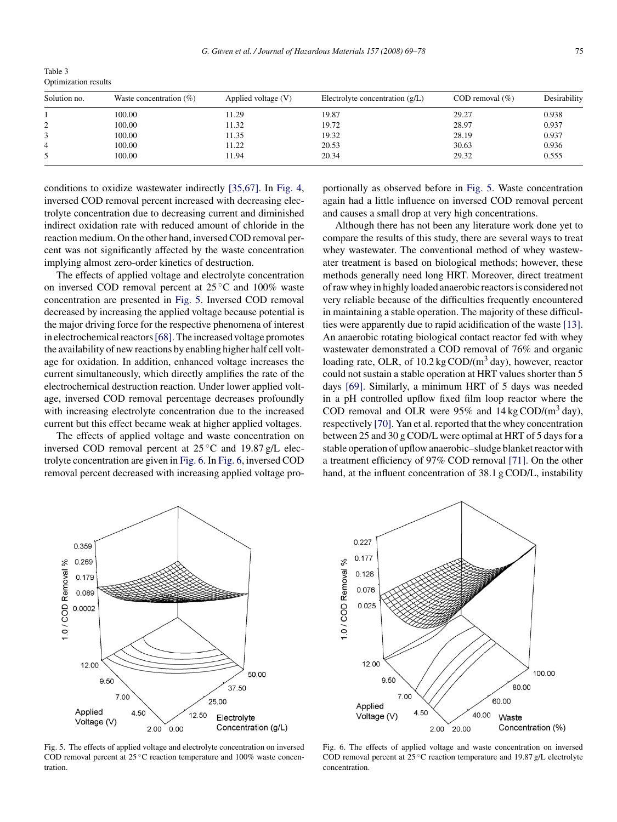<span id="page-6-0"></span>

| Table 3              |  |
|----------------------|--|
| Optimization results |  |

| Solution no.   | Waste concentration $(\%)$ | Applied voltage (V) | Electrolyte concentration $(g/L)$ | COD removal $(\% )$ | Desirability |
|----------------|----------------------------|---------------------|-----------------------------------|---------------------|--------------|
|                | 100.00                     | 11.29               | 19.87                             | 29.27               | 0.938        |
| $\gamma$       | 100.00                     | 11.32               | 19.72                             | 28.97               | 0.937        |
|                | 100.00                     | 11.35               | 19.32                             | 28.19               | 0.937        |
| $\overline{4}$ | 100.00                     | 11.22               | 20.53                             | 30.63               | 0.936        |
|                | 100.00                     | 11.94               | 20.34                             | 29.32               | 0.555        |

conditions to oxidize wastewater indirectly [\[35,67\].](#page-8-0) In [Fig. 4,](#page-5-0) inversed COD removal percent increased with decreasing electrolyte concentration due to decreasing current and diminished indirect oxidation rate with reduced amount of chloride in the reaction medium. On the other hand, inversed COD removal percent was not significantly affected by the waste concentration implying almost zero-order kinetics of destruction.

The effects of applied voltage and electrolyte concentration on inversed COD removal percent at  $25^{\circ}$ C and  $100\%$  waste concentration are presented in Fig. 5. Inversed COD removal decreased by increasing the applied voltage because potential is the major driving force for the respective phenomena of interest in electrochemical reactors[\[68\]. T](#page-9-0)he increased voltage promotes the availability of new reactions by enabling higher half cell voltage for oxidation. In addition, enhanced voltage increases the current simultaneously, which directly amplifies the rate of the electrochemical destruction reaction. Under lower applied voltage, inversed COD removal percentage decreases profoundly with increasing electrolyte concentration due to the increased current but this effect became weak at higher applied voltages.

The effects of applied voltage and waste concentration on inversed COD removal percent at  $25^{\circ}$ C and 19.87 g/L electrolyte concentration are given in Fig. 6. In Fig. 6, inversed COD removal percent decreased with increasing applied voltage proportionally as observed before in Fig. 5. Waste concentration again had a little influence on inversed COD removal percent and causes a small drop at very high concentrations.

Although there has not been any literature work done yet to compare the results of this study, there are several ways to treat whey wastewater. The conventional method of whey wastewater treatment is based on biological methods; however, these methods generally need long HRT. Moreover, direct treatment of raw whey in highly loaded anaerobic reactors is considered not very reliable because of the difficulties frequently encountered in maintaining a stable operation. The majority of these difficulties were apparently due to rapid acidification of the waste [\[13\].](#page-8-0) An anaerobic rotating biological contact reactor fed with whey wastewater demonstrated a COD removal of 76% and organic loading rate, OLR, of  $10.2 \text{ kg COD/(m}^3 \text{ day})$ , however, reactor could not sustain a stable operation at HRT values shorter than 5 days [\[69\].](#page-9-0) Similarly, a minimum HRT of 5 days was needed in a pH controlled upflow fixed film loop reactor where the COD removal and OLR were  $95\%$  and  $14 \text{ kg COD/(m}^3 \text{ day})$ , respectively [\[70\]. Y](#page-9-0)an et al. reported that the whey concentration between 25 and 30 g COD/L were optimal at HRT of 5 days for a stable operation of upflow anaerobic–sludge blanket reactor with a treatment efficiency of 97% COD removal [\[71\].](#page-9-0) On the other hand, at the influent concentration of 38.1 g COD/L, instability



Fig. 5. The effects of applied voltage and electrolyte concentration on inversed COD removal percent at 25 ◦C reaction temperature and 100% waste concentration.



Fig. 6. The effects of applied voltage and waste concentration on inversed COD removal percent at 25 ◦C reaction temperature and 19.87 g/L electrolyte concentration.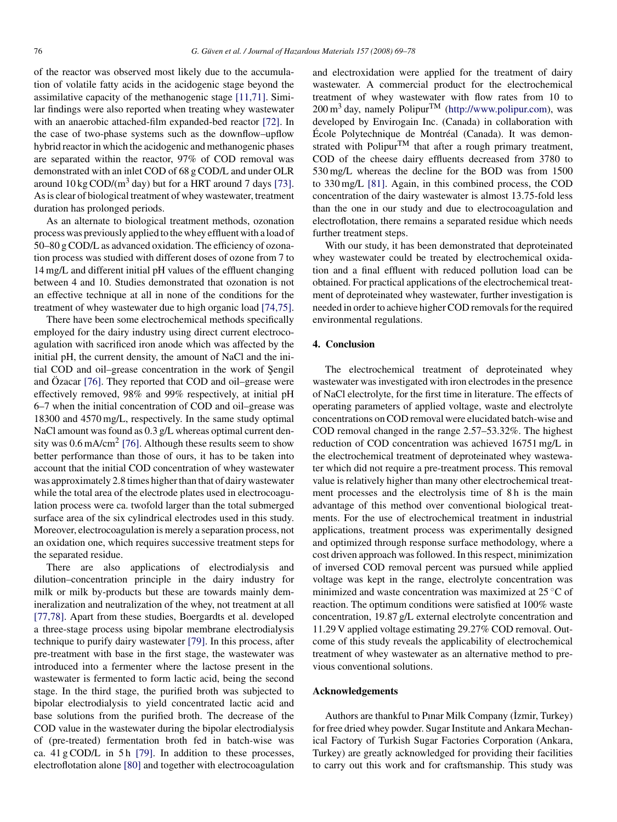of the reactor was observed most likely due to the accumulation of volatile fatty acids in the acidogenic stage beyond the assimilative capacity of the methanogenic stage [\[11,71\].](#page-8-0) Similar findings were also reported when treating whey wastewater with an anaerobic attached-film expanded-bed reactor [\[72\].](#page-9-0) In the case of two-phase systems such as the downflow–upflow hybrid reactor in which the acidogenic and methanogenic phases are separated within the reactor, 97% of COD removal was demonstrated with an inlet COD of 68 g COD/L and under OLR around  $10 \text{ kg } COD/(m^3 \text{ day})$  but for a HRT around 7 days [\[73\].](#page-9-0) As is clear of biological treatment of whey wastewater, treatment duration has prolonged periods.

As an alternate to biological treatment methods, ozonation process was previously applied to the whey effluent with a load of 50–80 g COD/L as advanced oxidation. The efficiency of ozonation process was studied with different doses of ozone from 7 to 14 mg/L and different initial pH values of the effluent changing between 4 and 10. Studies demonstrated that ozonation is not an effective technique at all in none of the conditions for the treatment of whey wastewater due to high organic load [\[74,75\].](#page-9-0)

There have been some electrochemical methods specifically employed for the dairy industry using direct current electrocoagulation with sacrificed iron anode which was affected by the initial pH, the current density, the amount of NaCl and the initial COD and oil–grease concentration in the work of Sengil and Özacar  $[76]$ . They reported that COD and oil–grease were effectively removed, 98% and 99% respectively, at initial pH 6–7 when the initial concentration of COD and oil–grease was 18300 and 4570 mg/L, respectively. In the same study optimal NaCl amount was found as 0.3 g/L whereas optimal current density was  $0.6 \text{ mA/cm}^2$  [\[76\].](#page-9-0) Although these results seem to show better performance than those of ours, it has to be taken into account that the initial COD concentration of whey wastewater was approximately 2.8 times higher than that of dairy wastewater while the total area of the electrode plates used in electrocoagulation process were ca. twofold larger than the total submerged surface area of the six cylindrical electrodes used in this study. Moreover, electrocoagulation is merely a separation process, not an oxidation one, which requires successive treatment steps for the separated residue.

There are also applications of electrodialysis and dilution–concentration principle in the dairy industry for milk or milk by-products but these are towards mainly demineralization and neutralization of the whey, not treatment at all [\[77,78\].](#page-9-0) Apart from these studies, Boergardts et al. developed a three-stage process using bipolar membrane electrodialysis technique to purify dairy wastewater [\[79\]. I](#page-9-0)n this process, after pre-treatment with base in the first stage, the wastewater was introduced into a fermenter where the lactose present in the wastewater is fermented to form lactic acid, being the second stage. In the third stage, the purified broth was subjected to bipolar electrodialysis to yield concentrated lactic acid and base solutions from the purified broth. The decrease of the COD value in the wastewater during the bipolar electrodialysis of (pre-treated) fermentation broth fed in batch-wise was ca.  $41 \text{ g COD/L}$  in  $5 \text{ h}$  [\[79\].](#page-9-0) In addition to these processes, electroflotation alone [\[80\]](#page-9-0) and together with electrocoagulation and electroxidation were applied for the treatment of dairy wastewater. A commercial product for the electrochemical treatment of whey wastewater with flow rates from 10 to  $200 \text{ m}^3$  day, namely Polipur<sup>TM</sup> ([http://www.polipur.com](http://www.polipur.com/)), was developed by Envirogain Inc. (Canada) in collaboration with École Polytechnique de Montréal (Canada). It was demonstrated with Polipur<sup>TM</sup> that after a rough primary treatment, COD of the cheese dairy effluents decreased from 3780 to 530 mg/L whereas the decline for the BOD was from 1500 to 330 mg/L [\[81\].](#page-9-0) Again, in this combined process, the COD concentration of the dairy wastewater is almost 13.75-fold less than the one in our study and due to electrocoagulation and electroflotation, there remains a separated residue which needs further treatment steps.

With our study, it has been demonstrated that deproteinated whey wastewater could be treated by electrochemical oxidation and a final effluent with reduced pollution load can be obtained. For practical applications of the electrochemical treatment of deproteinated whey wastewater, further investigation is needed in order to achieve higher COD removals for the required environmental regulations.

# **4. Conclusion**

The electrochemical treatment of deproteinated whey wastewater was investigated with iron electrodes in the presence of NaCl electrolyte, for the first time in literature. The effects of operating parameters of applied voltage, waste and electrolyte concentrations on COD removal were elucidated batch-wise and COD removal changed in the range 2.57–53.32%. The highest reduction of COD concentration was achieved 16751 mg/L in the electrochemical treatment of deproteinated whey wastewater which did not require a pre-treatment process. This removal value is relatively higher than many other electrochemical treatment processes and the electrolysis time of 8 h is the main advantage of this method over conventional biological treatments. For the use of electrochemical treatment in industrial applications, treatment process was experimentally designed and optimized through response surface methodology, where a cost driven approach was followed. In this respect, minimization of inversed COD removal percent was pursued while applied voltage was kept in the range, electrolyte concentration was minimized and waste concentration was maximized at 25 ◦C of reaction. The optimum conditions were satisfied at 100% waste concentration, 19.87 g/L external electrolyte concentration and 11.29 V applied voltage estimating 29.27% COD removal. Outcome of this study reveals the applicability of electrochemical treatment of whey wastewater as an alternative method to previous conventional solutions.

#### **Acknowledgements**

Authors are thankful to Pinar Milk Company (İzmir, Turkey) for free dried whey powder. Sugar Institute and Ankara Mechanical Factory of Turkish Sugar Factories Corporation (Ankara, Turkey) are greatly acknowledged for providing their facilities to carry out this work and for craftsmanship. This study was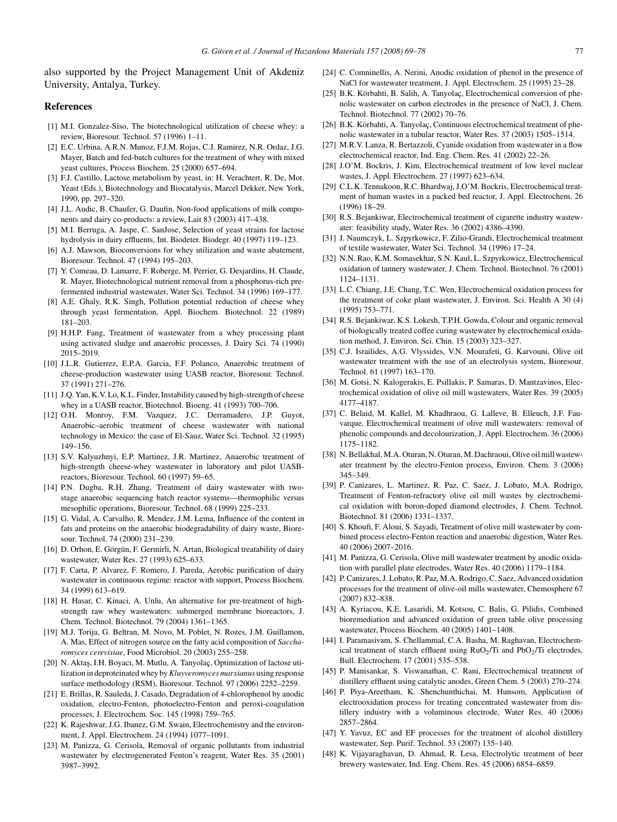<span id="page-8-0"></span>also supported by the Project Management Unit of Akdeniz University, Antalya, Turkey.

#### **References**

- [1] M.I. Gonzalez-Siso, The biotechnological utilization of cheese whey: a review, Bioresour. Technol. 57 (1996) 1–11.
- [2] E.C. Urbina, A.R.N. Munoz, F.J.M. Rojas, C.J. Ramirez, N.R. Ordaz, J.G. Mayer, Batch and fed-batch cultures for the treatment of whey with mixed yeast cultures, Process Biochem. 25 (2000) 657–694.
- [3] F.J. Castillo, Lactose metabolism by yeast, in: H. Verachtert, R. De, Mot. Yeast (Eds.), Biotechnology and Biocatalysis, Marcel Dekker, New York, 1990, pp. 297–320.
- [4] J.L. Audic, B. Chaufer, G. Daufin, Non-food applications of milk components and dairy co-products: a review, Lait 83 (2003) 417–438.
- [5] M.I. Berruga, A. Jaspe, C. SanJose, Selection of yeast strains for lactose hydrolysis in dairy effluents, Int. Biodeter. Biodegr. 40 (1997) 119–123.
- [6] A.J. Mawson, Bioconversions for whey utilization and waste abatement, Bioresour. Technol. 47 (1994) 195–203.
- [7] Y. Comeau, D. Lamarre, F. Roberge, M. Perrier, G. Desjardins, H. Claude, R. Mayer, Biotechnological nutrient removal from a phosphorus-rich prefermented industrial wastewater, Water Sci. Technol. 34 (1996) 169–177.
- [8] A.E. Ghaly, R.K. Singh, Pollution potential reduction of cheese whey through yeast fermentation, Appl. Biochem. Biotechnol. 22 (1989) 181–203.
- [9] H.H.P. Fang, Treatment of wastewater from a whey processing plant using activated sludge and anaerobic processes, J. Dairy Sci. 74 (1990) 2015–2019.
- [10] J.L.R. Gutierrez, E.P.A. Garcia, F.F. Polanco, Anaerobic treatment of cheese-production wastewater using UASB reactor, Bioresour. Technol. 37 (1991) 271–276.
- [11] J.Q. Yan, K.V. Lo, K.L. Finder, Instability caused by high-strength of cheese whey in a UASB reactor, Biotechnol. Bioeng. 41 (1993) 700–706.
- [12] O.H. Monroy, F.M. Vazquez, J.C. Derramadero, J.P. Guyot, Anaerobic–aerobic treatment of cheese wastewater with national technology in Mexico: the case of El-Sauz, Water Sci. Technol. 32 (1995) 149–156.
- [13] S.V. Kalyuzhnyi, E.P. Martinez, J.R. Martinez, Anaerobic treatment of high-strength cheese-whey wastewater in laboratory and pilot UASBreactors, Bioresour. Technol. 60 (1997) 59–65.
- [14] P.N. Dugba, R.H. Zhang, Treatment of dairy wastewater with twostage anaerobic sequencing batch reactor systems—thermophilic versus mesophilic operations, Bioresour. Technol. 68 (1999) 225–233.
- [15] G. Vidal, A. Carvalho, R. Mendez, J.M. Lema, Influence of the content in fats and proteins on the anaerobic biodegradability of dairy waste, Bioresour. Technol. 74 (2000) 231–239.
- [16] D. Orhon, E. Görgün, F. Germirli, N. Artan, Biological treatability of dairy wastewater, Water Res. 27 (1993) 625–633.
- [17] F. Carta, P. Alvarez, F. Romero, J. Pareda, Aerobic purification of dairy wastewater in continuous regime: reactor with support, Process Biochem. 34 (1999) 613–619.
- [18] H. Hasar, C. Kinaci, A. Unlu, An alternative for pre-treatment of highstrength raw whey wastewaters: submerged membrane bioreactors, J. Chem. Technol. Biotechnol. 79 (2004) 1361–1365.
- [19] M.J. Torija, G. Beltran, M. Novo, M. Poblet, N. Rozes, J.M. Guillamon, A. Mas, Effect of nitrogen source on the fatty acid composition of *Saccharomyces cerevisiae*, Food Microbiol. 20 (2003) 255–258.
- [20] N. Aktaş, I.H. Boyacı, M. Mutlu, A. Tanyolaç, Optimization of lactose utilization in deproteinated whey by*Kluyveromyces marxianus* using response surface methodology (RSM), Bioresour. Technol. 97 (2006) 2252–2259.
- [21] E. Brillas, R. Sauleda, J. Casado, Degradation of 4-chlorophenol by anodic oxidation, electro-Fenton, photoelectro-Fenton and peroxi-coagulation processes, J. Electrochem. Soc. 145 (1998) 759–765.
- [22] K. Rajeshwar, J.G. Ibanez, G.M. Swain, Electrochemistry and the environment, J. Appl. Electrochem. 24 (1994) 1077–1091.
- [23] M. Panizza, G. Cerisola, Removal of organic pollutants from industrial wastewater by electrogenerated Fenton's reagent, Water Res. 35 (2001) 3987–3992.
- [24] C. Comninellis, A. Nerini, Anodic oxidation of phenol in the presence of NaCl for wastewater treatment, J. Appl. Electrochem. 25 (1995) 23–28.
- [25] B.K. Körbahti, B. Salih, A. Tanyolaç, Electrochemical conversion of phenolic wastewater on carbon electrodes in the presence of NaCl, J. Chem. Technol. Biotechnol. 77 (2002) 70–76.
- [26] B.K. Körbahti, A. Tanyolaç, Continuous electrochemical treatment of phenolic wastewater in a tubular reactor, Water Res. 37 (2003) 1505–1514.
- [27] M.R.V. Lanza, R. Bertazzoli, Cyanide oxidation from wastewater in a flow electrochemical reactor, Ind. Eng. Chem. Res. 41 (2002) 22–26.
- [28] J.O'M. Bockris, J. Kim, Electrochemical treatment of low level nuclear wastes, J. Appl. Electrochem. 27 (1997) 623–634.
- [29] C.L.K. Tennakoon, R.C. Bhardwaj, J.O'M. Bockris, Electrochemical treatment of human wastes in a packed bed reactor, J. Appl. Electrochem. 26 (1996) 18–29.
- [30] R.S. Bejankiwar, Electrochemical treatment of cigarette industry wastewater: feasibility study, Water Res. 36 (2002) 4386–4390.
- [31] J. Naumczyk, L. Szpyrkowicz, F. Zilio-Grandi, Electrochemical treatment of textile wastewater, Water Sci. Technol. 34 (1996) 17–24.
- [32] N.N. Rao, K.M. Somasekhar, S.N. Kaul, L. Szpyrkowicz, Electrochemical oxidation of tannery wastewater, J. Chem. Technol. Biotechnol. 76 (2001) 1124–1131.
- [33] L.C. Chiang, J.E. Chang, T.C. Wen, Electrochemical oxidation process for the treatment of coke plant wastewater, J. Environ. Sci. Health A 30 (4) (1995) 753–771.
- [34] R.S. Bejankiwar, K.S. Lokesh, T.P.H. Gowda, Colour and organic removal of biologically treated coffee curing wastewater by electrochemical oxidation method, J. Environ. Sci. Chin. 15 (2003) 323–327.
- [35] C.J. Israilides, A.G. Vlyssides, V.N. Mourafeti, G. Karvouni, Olive oil wastewater treatment with the use of an electrolysis system, Bioresour. Technol. 61 (1997) 163–170.
- [36] M. Gotsi, N. Kalogerakis, E. Psillakis, P. Samaras, D. Mantzavinos, Electrochemical oxidation of olive oil mill wastewaters, Water Res. 39 (2005) 4177–4187.
- [37] C. Belaid, M. Kallel, M. Khadhraou, G. Lalleve, B. Elleuch, J.F. Fauvarque, Electrochemical treatment of olive mill wastewaters: removal of phenolic compounds and decolourization, J. Appl. Electrochem. 36 (2006) 1175–1182.
- [38] N. Bellakhal, M.A. Oturan, N. Oturan, M. Dachraoui, Olive oil mill wastewater treatment by the electro-Fenton process, Environ. Chem. 3 (2006) 345–349.
- [39] P. Canizares, L. Martinez, R. Paz, C. Saez, J. Lobato, M.A. Rodrigo, Treatment of Fenton-refractory olive oil mill wastes by electrochemical oxidation with boron-doped diamond electrodes, J. Chem. Technol. Biotechnol. 81 (2006) 1331–1337.
- [40] S. Khoufi, F. Aloui, S. Sayadi, Treatment of olive mill wastewater by combined process electro-Fenton reaction and anaerobic digestion, Water Res. 40 (2006) 2007–2016.
- [41] M. Panizza, G. Cerisola, Olive mill wastewater treatment by anodic oxidation with parallel plate electrodes, Water Res. 40 (2006) 1179–1184.
- [42] P. Canizares, J. Lobato, R. Paz, M.A. Rodrigo, C. Saez, Advanced oxidation processes for the treatment of olive-oil mills wastewater, Chemosphere 67 (2007) 832–838.
- [43] A. Kyriacou, K.E. Lasaridi, M. Kotsou, C. Balis, G. Pilidis, Combined bioremediation and advanced oxidation of green table olive processing wastewater, Process Biochem. 40 (2005) 1401–1408.
- [44] I. Paramasivam, S. Chellammal, C.A. Basha, M. Raghavan, Electrochemical treatment of starch effluent using  $RuO<sub>2</sub>/Ti$  and  $PbO<sub>2</sub>/Ti$  electrodes, Bull. Electrochem. 17 (2001) 535–538.
- [45] P. Manisankar, S. Viswanathan, C. Rani, Electrochemical treatment of distillery effluent using catalytic anodes, Green Chem. 5 (2003) 270–274.
- [46] P. Piya-Areetham, K. Shenchunthichai, M. Hunsom, Application of electrooxidation process for treating concentrated wastewater from distillery industry with a voluminous electrode, Water Res. 40 (2006) 2857–2864.
- [47] Y. Yavuz, EC and EF processes for the treatment of alcohol distillery wastewater, Sep. Purif. Technol. 53 (2007) 135–140.
- [48] K. Vijayaraghavan, D. Ahmad, R. Lesa, Electrolytic treatment of beer brewery wastewater, Ind. Eng. Chem. Res. 45 (2006) 6854–6859.